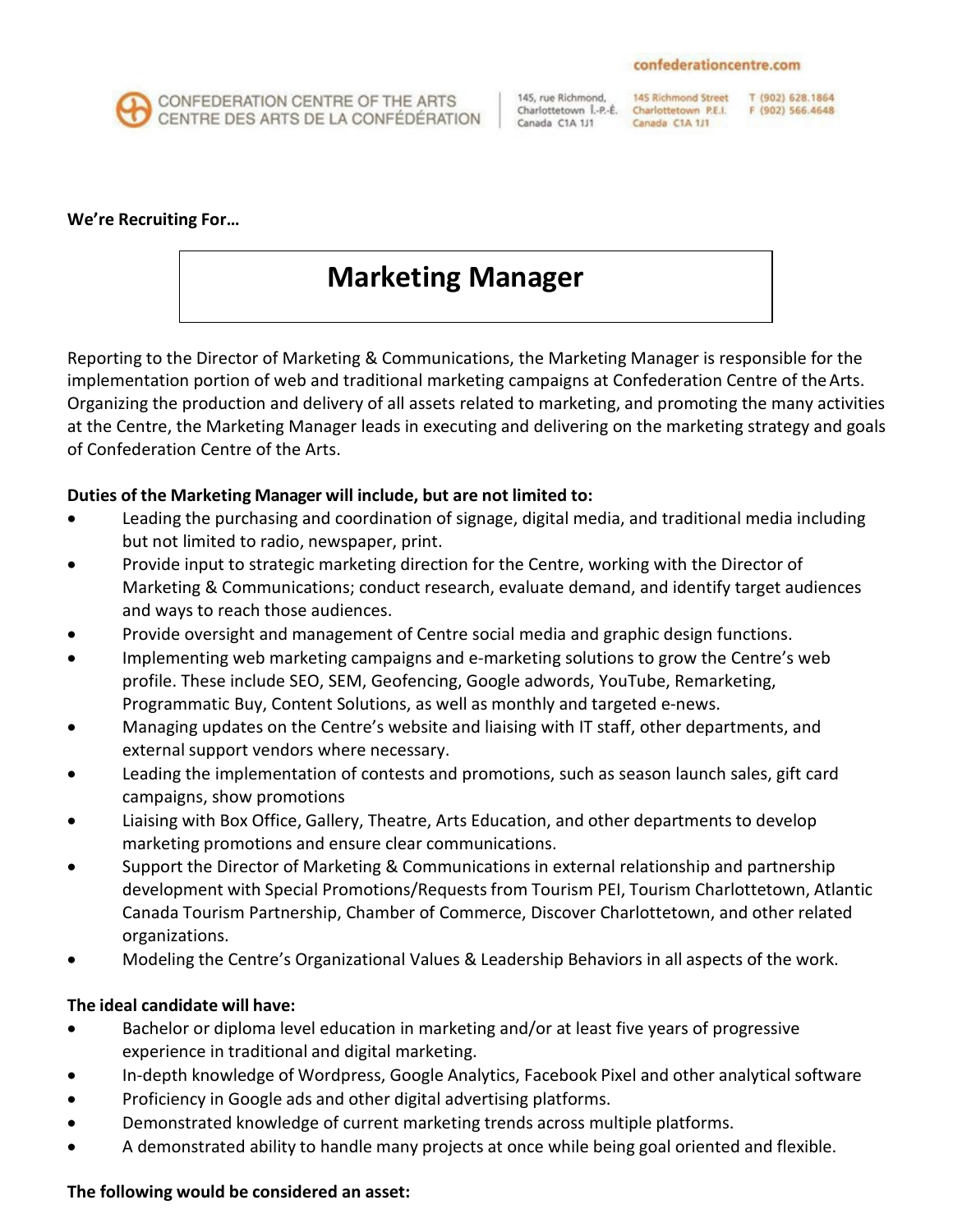

CONFEDERATION CENTRE OF THE ARTS CENTRE DES ARTS DE LA CONFÉDÉRATION

145, rue Richmond, Charlottetown Î.-P.-É. Canada C1A 1J1

145 Richmond Street Charlottetown P.E.I. Canada C1A 1J1

T (902) 628.1864 F (902) 566.4648

#### **We're Recruiting For…**

# **Marketing Manager**

Reporting to the Director of Marketing & Communications, the Marketing Manager is responsible for the implementation portion of web and traditional marketing campaigns at Confederation Centre of the Arts. Organizing the production and delivery of all assets related to marketing, and promoting the many activities at the Centre, the Marketing Manager leads in executing and delivering on the marketing strategy and goals of Confederation Centre of the Arts.

### **Duties of the Marketing Manager will include, but are not limited to:**

- Leading the purchasing and coordination of signage, digital media, and traditional media including but not limited to radio, newspaper, print.
- Provide input to strategic marketing direction for the Centre, working with the Director of Marketing & Communications; conduct research, evaluate demand, and identify target audiences and ways to reach those audiences.
- Provide oversight and management of Centre social media and graphic design functions.
- Implementing web marketing campaigns and e-marketing solutions to grow the Centre's web profile. These include SEO, SEM, Geofencing, Google adwords, YouTube, Remarketing, Programmatic Buy, Content Solutions, as well as monthly and targeted e-news.
- Managing updates on the Centre's website and liaising with IT staff, other departments, and external support vendors where necessary.
- Leading the implementation of contests and promotions, such as season launch sales, gift card campaigns, show promotions
- Liaising with Box Office, Gallery, Theatre, Arts Education, and other departments to develop marketing promotions and ensure clear communications.
- Support the Director of Marketing & Communications in external relationship and partnership development with Special Promotions/Requests from Tourism PEI, Tourism Charlottetown, Atlantic Canada Tourism Partnership, Chamber of Commerce, Discover Charlottetown, and other related organizations.
- Modeling the Centre's Organizational Values & Leadership Behaviors in all aspects of the work.

#### **The ideal candidate will have:**

- Bachelor or diploma level education in marketing and/or at least five years of progressive experience in traditional and digital marketing.
- In-depth knowledge of Wordpress, Google Analytics, Facebook Pixel and other analytical software
- Proficiency in Google ads and other digital advertising platforms.
- Demonstrated knowledge of current marketing trends across multiple platforms.
- A demonstrated ability to handle many projects at once while being goal oriented and flexible.

## **The following would be considered an asset:**